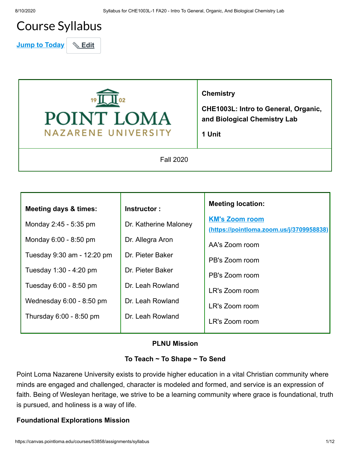# Course Syllabus

**Jump to Today & Edit** 



**Chemistry**

**CHE1003L: Intro to General, Organic, and Biological Chemistry Lab**

**1 Unit**

Fall 2020

| <b>Meeting days &amp; times:</b> | Instructor:           | <b>Meeting location:</b>                                          |
|----------------------------------|-----------------------|-------------------------------------------------------------------|
| Monday 2:45 - 5:35 pm            | Dr. Katherine Maloney | <b>KM's Zoom room</b><br>(https://pointloma.zoom.us/j/3709958838) |
| Monday 6:00 - 8:50 pm            | Dr. Allegra Aron      | AA's Zoom room                                                    |
| Tuesday 9:30 am - 12:20 pm       | Dr. Pieter Baker      | PB's Zoom room                                                    |
| Tuesday 1:30 - 4:20 pm           | Dr. Pieter Baker      | PB's Zoom room                                                    |
| Tuesday 6:00 - 8:50 pm           | Dr. Leah Rowland      | LR's Zoom room                                                    |
| Wednesday 6:00 - 8:50 pm         | Dr. Leah Rowland      | LR's Zoom room                                                    |
| Thursday 6:00 - 8:50 pm          | Dr. Leah Rowland      | LR's Zoom room                                                    |

#### **PLNU Mission**

#### **To Teach ~ To Shape ~ To Send**

Point Loma Nazarene University exists to provide higher education in a vital Christian community where minds are engaged and challenged, character is modeled and formed, and service is an expression of faith. Being of Wesleyan heritage, we strive to be a learning community where grace is foundational, truth is pursued, and holiness is a way of life.

#### **Foundational Explorations Mission**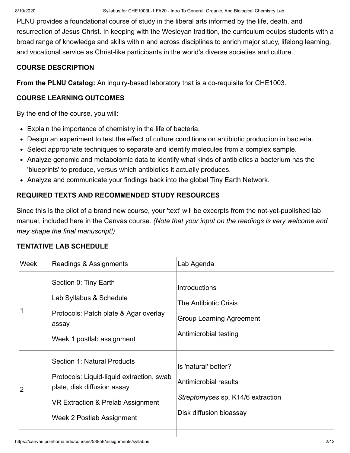PLNU provides a foundational course of study in the liberal arts informed by the life, death, and resurrection of Jesus Christ. In keeping with the Wesleyan tradition, the curriculum equips students with a broad range of knowledge and skills within and across disciplines to enrich major study, lifelong learning, and vocational service as Christ-like participants in the world's diverse societies and culture.

### **COURSE DESCRIPTION**

**From the PLNU Catalog:** An inquiry-based laboratory that is a co-requisite for CHE1003.

## **COURSE LEARNING OUTCOMES**

By the end of the course, you will:

- Explain the importance of chemistry in the life of bacteria.
- Design an experiment to test the effect of culture conditions on antibiotic production in bacteria.
- Select appropriate techniques to separate and identify molecules from a complex sample.
- Analyze genomic and metabolomic data to identify what kinds of antibiotics a bacterium has the 'blueprints' to produce, versus which antibiotics it actually produces.
- Analyze and communicate your findings back into the global Tiny Earth Network.

## **REQUIRED TEXTS AND RECOMMENDED STUDY RESOURCES**

Since this is the pilot of a brand new course, your 'text' will be excerpts from the not-yet-published lab manual, included here in the Canvas course. *(Note that your input on the readings is very welcome and may shape the final manuscript!)*

### **TENTATIVE LAB SCHEDULE**

| Week | Readings & Assignments                                                                                                                                                    | Lab Agenda                                                                                                    |  |
|------|---------------------------------------------------------------------------------------------------------------------------------------------------------------------------|---------------------------------------------------------------------------------------------------------------|--|
|      | Section 0: Tiny Earth<br>Lab Syllabus & Schedule<br>Protocols: Patch plate & Agar overlay<br>assay<br>Week 1 postlab assignment                                           | Introductions<br><b>The Antibiotic Crisis</b><br><b>Group Learning Agreement</b><br>Antimicrobial testing     |  |
| 2    | Section 1: Natural Products<br>Protocols: Liquid-liquid extraction, swab<br>plate, disk diffusion assay<br>VR Extraction & Prelab Assignment<br>Week 2 Postlab Assignment | Is 'natural' better?<br>Antimicrobial results<br>Streptomyces sp. K14/6 extraction<br>Disk diffusion bioassay |  |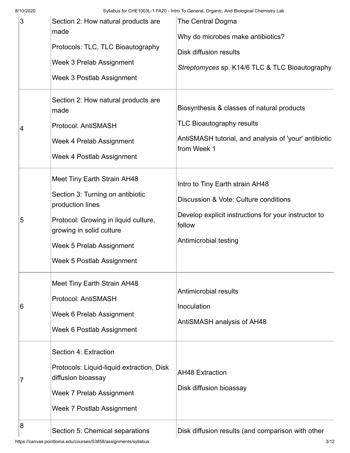8/10/2020 Syllabus for CHE1003L-1 FA20 - Intro To General, Organic, And Biological Chemistry Lab

| 3  | Section 2: How natural products are<br>made<br>Protocols: TLC, TLC Bioautography<br><b>Week 3 Prelab Assignment</b><br>Week 3 Postlab Assignment                                                                        | The Central Dogma<br>Why do microbes make antibiotics?<br><b>Disk diffusion results</b><br>Streptomyces sp. K14/6 TLC & TLC Bioautography                           |
|----|-------------------------------------------------------------------------------------------------------------------------------------------------------------------------------------------------------------------------|---------------------------------------------------------------------------------------------------------------------------------------------------------------------|
| 14 | Section 2: How natural products are<br>made<br>Protocol: AntiSMASH<br>Week 4 Prelab Assignment<br>Week 4 Postlab Assignment                                                                                             | Biosynthesis & classes of natural products<br><b>TLC Bioautography results</b><br>AntiSMASH tutorial, and analysis of 'your' antibiotic<br>from Week 1              |
| 5  | Meet Tiny Earth Strain AH48<br>Section 3: Turning on antibiotic<br>production lines<br>Protocol: Growing in liquid culture,<br>growing in solid culture<br><b>Week 5 Prelab Assignment</b><br>Week 5 Postlab Assignment | Intro to Tiny Earth strain AH48<br>Discussion & Vote: Culture conditions<br>Develop explicit instructions for your instructor to<br>follow<br>Antimicrobial testing |
| 16 | Meet Tiny Earth Strain AH48<br><b>Protocol: AntiSMASH</b><br>Week 6 Prelab Assignment<br>Week 6 Postlab Assignment                                                                                                      | Antimicrobial results<br>Inoculation<br>AntiSMASH analysis of AH48                                                                                                  |
| 7  | Section 4: Extraction<br>Protocols: Liquid-liquid extraction, Disk<br>diffusion bioassay<br>Week 7 Prelab Assignment<br>Week 7 Postlab Assignment                                                                       | <b>AH48 Extraction</b><br>Disk diffusion bioassay                                                                                                                   |
| 8  | Section 5: Chemical separations                                                                                                                                                                                         | Disk diffusion results (and comparison with other                                                                                                                   |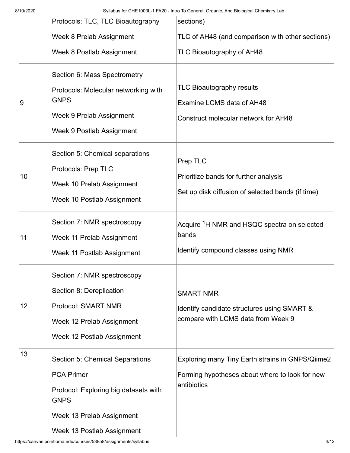8/10/2020 Syllabus for CHE1003L-1 FA20 - Intro To General, Organic, And Biological Chemistry Lab

|                | Protocols: TLC, TLC Bioautography                                                                                                                                              | sections)                                                                                                         |
|----------------|--------------------------------------------------------------------------------------------------------------------------------------------------------------------------------|-------------------------------------------------------------------------------------------------------------------|
|                | <b>Week 8 Prelab Assignment</b>                                                                                                                                                | TLC of AH48 (and comparison with other sections)                                                                  |
|                | Week 8 Postlab Assignment                                                                                                                                                      | TLC Bioautography of AH48                                                                                         |
| $\overline{9}$ | Section 6: Mass Spectrometry<br>Protocols: Molecular networking with<br><b>GNPS</b><br>Week 9 Prelab Assignment<br>Week 9 Postlab Assignment                                   | <b>TLC Bioautography results</b><br>Examine LCMS data of AH48<br><b>Construct molecular network for AH48</b>      |
| 10             | Section 5: Chemical separations<br>Protocols: Prep TLC<br>Week 10 Prelab Assignment<br>Week 10 Postlab Assignment                                                              | Prep TLC<br>Prioritize bands for further analysis<br>Set up disk diffusion of selected bands (if time)            |
| 11             | Section 7: NMR spectroscopy<br>Week 11 Prelab Assignment<br>Week 11 Postlab Assignment                                                                                         | Acquire <sup>1</sup> H NMR and HSQC spectra on selected<br>bands<br>Identify compound classes using NMR           |
| 12             | Section 7: NMR spectroscopy<br>Section 8: Dereplication<br><b>Protocol: SMART NMR</b><br>Week 12 Prelab Assignment<br>Week 12 Postlab Assignment                               | <b>SMART NMR</b><br>Identify candidate structures using SMART &<br>compare with LCMS data from Week 9             |
| 13             | <b>Section 5: Chemical Separations</b><br><b>PCA Primer</b><br>Protocol: Exploring big datasets with<br><b>GNPS</b><br>Week 13 Prelab Assignment<br>Week 13 Postlab Assignment | Exploring many Tiny Earth strains in GNPS/Qiime2<br>Forming hypotheses about where to look for new<br>antibiotics |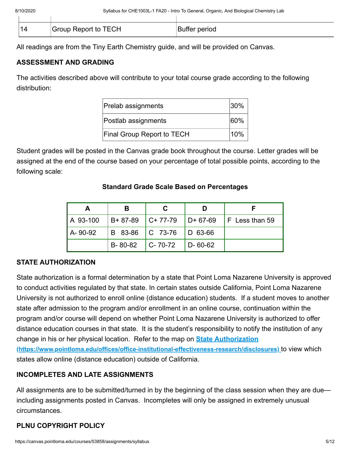| '1∡ | Group Report to TECH | Buffer period |
|-----|----------------------|---------------|

All readings are from the Tiny Earth Chemistry guide, and will be provided on Canvas.

## **ASSESSMENT AND GRADING**

The activities described above will contribute to your total course grade according to the following distribution:

| <b>Prelab assignments</b><br>$ 30\%$ |         |
|--------------------------------------|---------|
| Postlab assignments                  | $ 60\%$ |
| Final Group Report to TECH           | 10%     |

Student grades will be posted in the Canvas grade book throughout the course. Letter grades will be assigned at the end of the course based on your percentage of total possible points, according to the following scale:

## **A B C D F** A 93-100 B+ 87-89 C+ 77-79 D+ 67-69 F Less than 59 A-90-92 B 83-86 C 73-76 D 63-66 B-80-82 C-70-72 D-60-62

## **Standard Grade Scale Based on Percentages**

## **STATE AUTHORIZATION**

State authorization is a formal determination by a state that Point Loma Nazarene University is approved to conduct activities regulated by that state. In certain states outside California, Point Loma Nazarene University is not authorized to enroll online (distance education) students. If a student moves to another state after admission to the program and/or enrollment in an online course, continuation within the program and/or course will depend on whether Point Loma Nazarene University is authorized to offer distance education courses in that state. It is the student's responsibility to notify the institution of any change in his or her physical location. Refer to the map on **State Authorization [\(https://www.pointloma.edu/offices/office-institutional-effectiveness-research/disclosures\)](https://www.pointloma.edu/offices/office-institutional-effectiveness-research/disclosures)** to view which states allow online (distance education) outside of California.

## **INCOMPLETES AND LATE ASSIGNMENTS**

All assignments are to be submitted/turned in by the beginning of the class session when they are due including assignments posted in Canvas. Incompletes will only be assigned in extremely unusual circumstances.

## **PLNU COPYRIGHT POLICY**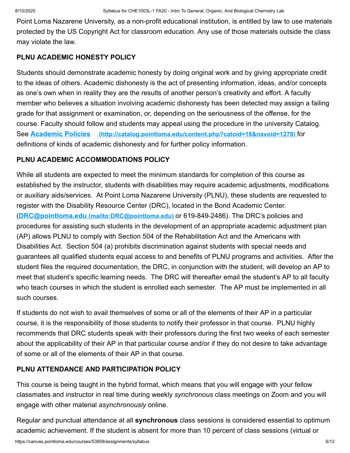Point Loma Nazarene University, as a non-profit educational institution, is entitled by law to use materials protected by the US Copyright Act for classroom education. Any use of those materials outside the class may violate the law.

#### **PLNU ACADEMIC HONESTY POLICY**

Students should demonstrate academic honesty by doing original work and by giving appropriate credit to the ideas of others. Academic dishonesty is the act of presenting information, ideas, and/or concepts as one's own when in reality they are the results of another person's creativity and effort. A faculty member who believes a situation involving academic dishonesty has been detected may assign a failing grade for that assignment or examination, or, depending on the seriousness of the offense, for the course. Faculty should follow and students may appeal using the procedure in the university Catalog. See **Academic Policies [\(http://catalog.pointloma.edu/content.php?catoid=18&navoid=1278\)](http://catalog.pointloma.edu/content.php?catoid=18&navoid=1278)** for definitions of kinds of academic dishonesty and for further policy information.

### **PLNU ACADEMIC ACCOMMODATIONS POLICY**

While all students are expected to meet the minimum standards for completion of this course as established by the instructor, students with disabilities may require academic adjustments, modifications or auxiliary aids/services. At Point Loma Nazarene University (PLNU), these students are requested to register with the Disability Resource Center (DRC), located in the Bond Academic Center. (**DRC@pointloma.edu [\(mailto:DRC@pointloma.edu\)](mailto:DRC@pointloma.edu)** or 619-849-2486). The DRC's policies and procedures for assisting such students in the development of an appropriate academic adjustment plan (AP) allows PLNU to comply with Section 504 of the Rehabilitation Act and the Americans with Disabilities Act. Section 504 (a) prohibits discrimination against students with special needs and guarantees all qualified students equal access to and benefits of PLNU programs and activities. After the student files the required documentation, the DRC, in conjunction with the student, will develop an AP to meet that student's specific learning needs. The DRC will thereafter email the student's AP to all faculty who teach courses in which the student is enrolled each semester. The AP must be implemented in all such courses.

If students do not wish to avail themselves of some or all of the elements of their AP in a particular course, it is the responsibility of those students to notify their professor in that course. PLNU highly recommends that DRC students speak with their professors during the first two weeks of each semester about the applicability of their AP in that particular course and/or if they do not desire to take advantage of some or all of the elements of their AP in that course.

## **PLNU ATTENDANCE AND PARTICIPATION POLICY**

This course is being taught in the hybrid format, which means that you will engage with your fellow classmates and instructor in real time during weekly *synchronous* class meetings on Zoom and you will engage with other material *asynchronously* online.

Regular and punctual attendance at all **synchronous** class sessions is considered essential to optimum academic achievement. If the student is absent for more than 10 percent of class sessions (virtual or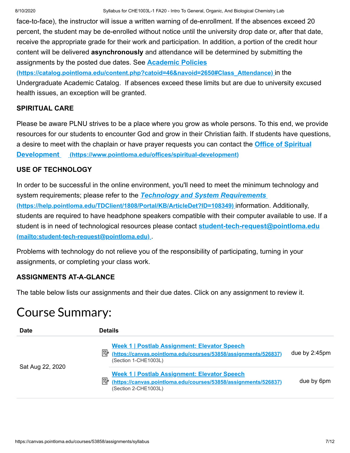face-to-face), the instructor will issue a written warning of de-enrollment. If the absences exceed 20 percent, the student may be de-enrolled without notice until the university drop date or, after that date, receive the appropriate grade for their work and participation. In addition, a portion of the credit hour content will be delivered **asynchronously** and attendance will be determined by submitting the assignments by the posted due dates. See **Academic Policies**

**[\(https://catalog.pointloma.edu/content.php?catoid=46&navoid=2650#Class\\_Attendance\)](https://catalog.pointloma.edu/content.php?catoid=46&navoid=2650#Class_Attendance)** in the Undergraduate Academic Catalog. If absences exceed these limits but are due to university excused health issues, an exception will be granted.

#### **SPIRITUAL CARE**

Please be aware PLNU strives to be a place where you grow as whole persons. To this end, we provide resources for our students to encounter God and grow in their Christian faith. If students have questions, [a desire to meet with the chaplain or have prayer requests you can contact the](https://www.pointloma.edu/offices/spiritual-development) **Office of Spiritual Development (https://www.pointloma.edu/offices/spiritual-development)**

#### **USE OF TECHNOLOGY**

In order to be successful in the online environment, you'll need to meet the minimum technology and system requirements; please refer to the *Technology and System Requirements*  **[\(https://help.pointloma.edu/TDClient/1808/Portal/KB/ArticleDet?ID=108349\)](https://help.pointloma.edu/TDClient/1808/Portal/KB/ArticleDet?ID=108349)** information. Additionally, students are required to have headphone speakers compatible with their computer available to use. If a [student is in need of technological resources please contact](mailto:student-tech-request@pointloma.edu) **student-tech-request@pointloma.edu (mailto:student-tech-request@pointloma.edu)** .

Problems with technology do not relieve you of the responsibility of participating, turning in your assignments, or completing your class work.

### **ASSIGNMENTS AT-A-GLANCE**

The table below lists our assignments and their due dates. Click on any assignment to review it.

# Course Summary:

| <b>Date</b>      | <b>Details</b>                                                                                                                                                    |
|------------------|-------------------------------------------------------------------------------------------------------------------------------------------------------------------|
|                  | Week 1   Postlab Assignment: Elevator Speech<br>髟<br>due by 2:45pm<br>(https://canvas.pointloma.edu/courses/53858/assignments/526837)<br>(Section 1-CHE1003L)     |
| Sat Aug 22, 2020 | <b>Week 1   Postlab Assignment: Elevator Speech</b><br>國<br>due by 6pm<br>(https://canvas.pointloma.edu/courses/53858/assignments/526837)<br>(Section 2-CHE1003L) |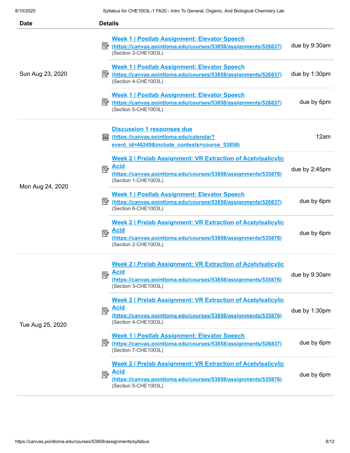| <b>Date</b>      | <b>Details</b>                                                                                                                                                                     |               |
|------------------|------------------------------------------------------------------------------------------------------------------------------------------------------------------------------------|---------------|
| Sun Aug 23, 2020 | <b>Week 1   Postlab Assignment: Elevator Speech</b><br>https://canvas.pointloma.edu/courses/53858/assignments/526837)<br>(Section 3-CHE1003L)                                      | due by 9:30am |
|                  | <b>Week 1   Postlab Assignment: Elevator Speech</b><br>ぽん<br>(https://canvas.pointloma.edu/courses/53858/assignments/526837)<br>(Section 4-CHE1003L)                               | due by 1:30pm |
|                  | <b>Week 1   Postlab Assignment: Elevator Speech</b><br>零<br>(https://canvas.pointloma.edu/courses/53858/assignments/526837)<br>(Section 5-CHE1003L)                                | due by 6pm    |
| Mon Aug 24, 2020 | <b>Discussion 1 responses due</b><br>(https://canvas.pointloma.edu/calendar?<br>翩<br>event id=46249&include contexts=course 53858)                                                 | 12am          |
|                  | <b>Week 2   Prelab Assignment: VR Extraction of Acetylsalicylic</b><br><u>Acid</u><br>國<br>(https://canvas.pointloma.edu/courses/53858/assignments/535876)<br>(Section 1-CHE1003L) | due by 2:45pm |
|                  | <b>Week 1   Postlab Assignment: Elevator Speech</b><br>彫<br>(https://canvas.pointloma.edu/courses/53858/assignments/526837)<br>(Section 6-CHE1003L)                                | due by 6pm    |
|                  | <b>Week 2   Prelab Assignment: VR Extraction of Acetylsalicylic</b><br><b>Acid</b><br>國<br>(https://canvas.pointloma.edu/courses/53858/assignments/535876)<br>(Section 2-CHE1003L) | due by 6pm    |
| Tue Aug 25, 2020 | <b>Week 2   Prelab Assignment: VR Extraction of Acetylsalicylic</b><br><b>Acid</b><br>國<br>(https://canvas.pointloma.edu/courses/53858/assignments/535876)<br>(Section 3-CHE1003L) | due by 9:30am |
|                  | <b>Week 2   Prelab Assignment: VR Extraction of Acetylsalicylic</b><br><b>Acid</b><br>昬<br>(https://canvas.pointloma.edu/courses/53858/assignments/535876)<br>(Section 4-CHE1003L) | due by 1:30pm |
|                  | Week 1   Postlab Assignment: Elevator Speech<br>https://canvas.pointloma.edu/courses/53858/assignments/526837)<br>(Section 7-CHE1003L)                                             | due by 6pm    |
|                  | <b>Week 2   Prelab Assignment: VR Extraction of Acetylsalicylic</b><br><b>Acid</b><br>國<br>(https://canvas.pointloma.edu/courses/53858/assignments/535876)<br>(Section 5-CHE1003L) | due by 6pm    |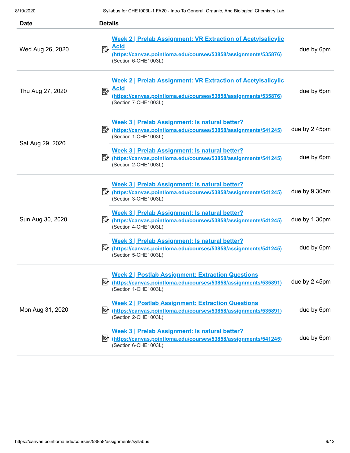| <b>Date</b>      | <b>Details</b>                                                                                                                                                                                   |  |
|------------------|--------------------------------------------------------------------------------------------------------------------------------------------------------------------------------------------------|--|
| Wed Aug 26, 2020 | <b>Week 2   Prelab Assignment: VR Extraction of Acetylsalicylic</b><br><b>Acid</b><br>國<br>due by 6pm<br>(https://canvas.pointloma.edu/courses/53858/assignments/535876)<br>(Section 6-CHE1003L) |  |
| Thu Aug 27, 2020 | Week 2   Prelab Assignment: VR Extraction of Acetylsalicylic<br><b>Acid</b><br>國<br>due by 6pm<br>(https://canvas.pointloma.edu/courses/53858/assignments/535876)<br>(Section 7-CHE1003L)        |  |
|                  | Week 3   Prelab Assignment: Is natural better?<br>due by 2:45pm<br>Ethttps://canvas.pointloma.edu/courses/53858/assignments/541245)<br>(Section 1-CHE1003L)                                      |  |
| Sat Aug 29, 2020 | Week 3   Prelab Assignment: Is natural better?<br>due by 6pm<br>彫<br>(https://canvas.pointloma.edu/courses/53858/assignments/541245)<br>(Section 2-CHE1003L)                                     |  |
|                  | Week 3   Prelab Assignment: Is natural better?<br>due by 9:30am<br>診<br>(https://canvas.pointloma.edu/courses/53858/assignments/541245)<br>(Section 3-CHE1003L)                                  |  |
| Sun Aug 30, 2020 | Week 3   Prelab Assignment: Is natural better?<br>due by 1:30pm<br>ぽん<br>(https://canvas.pointloma.edu/courses/53858/assignments/541245)<br>(Section 4-CHE1003L)                                 |  |
|                  | Week 3   Prelab Assignment: Is natural better?<br>due by 6pm<br>零<br>(https://canvas.pointloma.edu/courses/53858/assignments/541245)<br>(Section 5-CHE1003L)                                     |  |
|                  | <b>Week 2   Postlab Assignment: Extraction Questions</b><br>due by 2:45pm<br>Computer (https://canvas.pointloma.edu/courses/53858/assignments/535891)<br>(Section 1-CHE1003L)                    |  |
| Mon Aug 31, 2020 | <b>Week 2   Postlab Assignment: Extraction Questions</b><br>due by 6pm<br>P (https://canvas.pointloma.edu/courses/53858/assignments/535891)<br>(Section 2-CHE1003L)                              |  |
|                  | Week 3   Prelab Assignment: Is natural better?<br>due by 6pm<br>https://canvas.pointloma.edu/courses/53858/assignments/541245)<br>(Section 6-CHE1003L)                                           |  |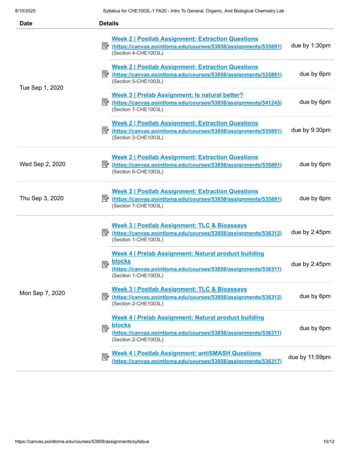| <b>Date</b>     | <b>Details</b>                                                                                                                                                        |                |  |
|-----------------|-----------------------------------------------------------------------------------------------------------------------------------------------------------------------|----------------|--|
|                 | <b>Week 2   Postlab Assignment: Extraction Questions</b><br>Ethttps://canvas.pointloma.edu/courses/53858/assignments/535891)<br>(Section 4-CHE1003L)                  | due by 1:30pm  |  |
|                 | <b>Week 2   Postlab Assignment: Extraction Questions</b><br>(Section 5-CHE1003L)                                                                                      | due by 6pm     |  |
| Tue Sep 1, 2020 | Week 3   Prelab Assignment: Is natural better?<br>Prinths://canvas.pointloma.edu/courses/53858/assignments/541245)<br>(Section 7-CHE1003L)                            | due by 6pm     |  |
|                 | <b>Week 2   Postlab Assignment: Extraction Questions</b><br>彫<br>(https://canvas.pointloma.edu/courses/53858/assignments/535891)<br>(Section 3-CHE1003L)              | due by 9:30pm  |  |
| Wed Sep 2, 2020 | <b>Week 2   Postlab Assignment: Extraction Questions</b><br> 診<br>(https://canvas.pointloma.edu/courses/53858/assignments/535891)<br>(Section 6-CHE1003L)             | due by 6pm     |  |
| Thu Sep 3, 2020 | <b>Week 2   Postlab Assignment: Extraction Questions</b><br>彫<br>(https://canvas.pointloma.edu/courses/53858/assignments/535891)<br>(Section 7-CHE1003L)              | due by 6pm     |  |
| Mon Sep 7, 2020 | Week 3   Postlab Assignment: TLC & Bioassays<br>https://canvas.pointloma.edu/courses/53858/assignments/536312)<br>(Section 1-CHE1003L)                                | due by 2:45pm  |  |
|                 | Week 4   Prelab Assignment: Natural product building<br><b>blocks</b><br>國<br>(https://canvas.pointloma.edu/courses/53858/assignments/536311)<br>(Section 1-CHE1003L) | due by 2:45pm  |  |
|                 | Week 3   Postlab Assignment: TLC & Bioassays<br>Ethttps://canvas.pointloma.edu/courses/53858/assignments/536312)<br>(Section 2-CHE1003L)                              | due by 6pm     |  |
|                 | Week 4   Prelab Assignment: Natural product building<br>blocks<br>國<br>(https://canvas.pointloma.edu/courses/53858/assignments/536311)<br>(Section 2-CHE1003L)        | due by 6pm     |  |
|                 | <b>Week 4   Postlab Assignment: antiSMASH Questions</b><br>垦<br>(https://canvas.pointloma.edu/courses/53858/assignments/536317)                                       | due by 11:59pm |  |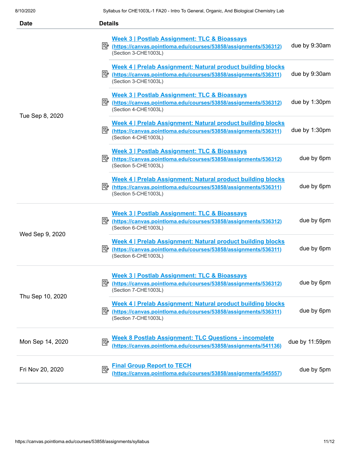| <b>Date</b>      | <b>Details</b>                                                                                                                                                            |
|------------------|---------------------------------------------------------------------------------------------------------------------------------------------------------------------------|
| Tue Sep 8, 2020  | Week 3   Postlab Assignment: TLC & Bioassays<br>due by 9:30am<br>E≥ (https://canvas.pointloma.edu/courses/53858/assignments/536312)<br>(Section 3-CHE1003L)               |
|                  | Week 4   Prelab Assignment: Natural product building blocks<br>due by 9:30am<br>Returns://canvas.pointloma.edu/courses/53858/assignments/536311)<br>(Section 3-CHE1003L)  |
|                  | Week 3   Postlab Assignment: TLC & Bioassays<br>due by 1:30pm<br>Printips://canvas.pointloma.edu/courses/53858/assignments/536312)<br>(Section 4-CHE1003L)                |
|                  | Week 4   Prelab Assignment: Natural product building blocks<br>due by 1:30pm<br>(Section 4-CHE1003L)                                                                      |
|                  | Week 3   Postlab Assignment: TLC & Bioassays<br>due by 6pm<br>E≥ (https://canvas.pointloma.edu/courses/53858/assignments/536312)<br>(Section 5-CHE1003L)                  |
|                  | Week 4   Prelab Assignment: Natural product building blocks<br>due by 6pm<br>(Section 5-CHE1003L)                                                                         |
| Wed Sep 9, 2020  | Week 3   Postlab Assignment: TLC & Bioassays<br>due by 6pm<br>B (https://canvas.pointloma.edu/courses/53858/assignments/536312)<br>(Section 6-CHE1003L)                   |
|                  | Week 4   Prelab Assignment: Natural product building blocks<br>due by 6pm<br>https://canvas.pointloma.edu/courses/53858/assignments/536311)<br>(Section 6-CHE1003L)       |
| Thu Sep 10, 2020 | Week 3   Postlab Assignment: TLC & Bioassays<br>due by 6pm<br>零<br>(https://canvas.pointloma.edu/courses/53858/assignments/536312)<br>(Section 7-CHE1003L)                |
|                  | Week 4   Prelab Assignment: Natural product building blocks<br>due by 6pm<br>零<br>(https://canvas.pointloma.edu/courses/53858/assignments/536311)<br>(Section 7-CHE1003L) |
| Mon Sep 14, 2020 | <b>Week 8 Postlab Assignment: TLC Questions - incomplete</b><br>國<br>due by 11:59pm<br>(https://canvas.pointloma.edu/courses/53858/assignments/541136)                    |
| Fri Nov 20, 2020 | <b>Final Group Report to TECH</b><br>國<br>due by 5pm<br>(https://canvas.pointloma.edu/courses/53858/assignments/545557)                                                   |